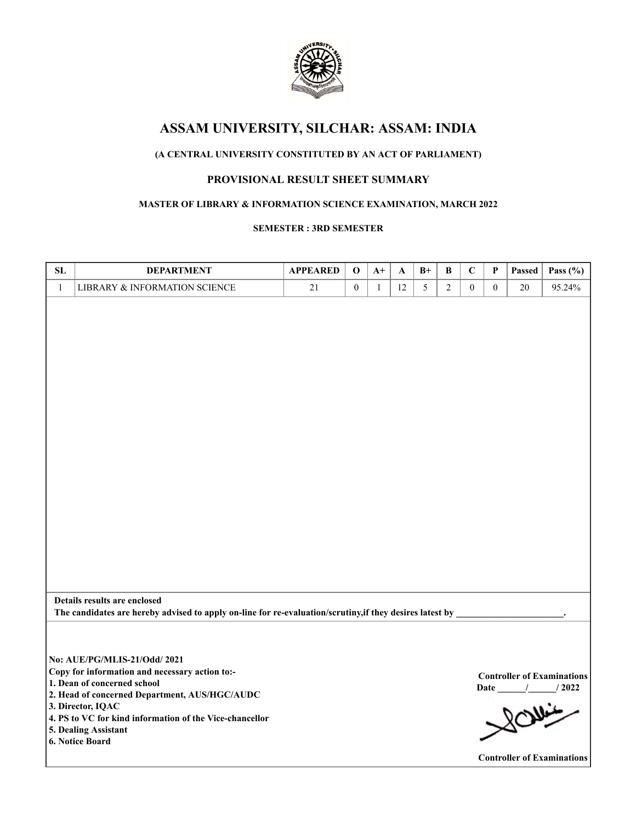

# **ASSAM UNIVERSITY, SILCHAR: ASSAM: INDIA**

## **(A CENTRAL UNIVERSITY CONSTITUTED BY AN ACT OF PARLIAMENT)**

## **PROVISIONAL RESULT SHEET SUMMARY**

### **MASTER OF LIBRARY & INFORMATION SCIENCE EXAMINATION, MARCH 2022**

#### **SEMESTER : 3RD SEMESTER**

| SL           | <b>DEPARTMENT</b>                                                                                        | <b>APPEARED</b> | $\bf{0}$         | $A+$         | A  | $B+$ | B              | $\mathbf C$      | $\mathbf P$  | Passed | Pass $(\% )$                      |
|--------------|----------------------------------------------------------------------------------------------------------|-----------------|------------------|--------------|----|------|----------------|------------------|--------------|--------|-----------------------------------|
| $\mathbf{1}$ | LIBRARY & INFORMATION SCIENCE                                                                            | 21              | $\boldsymbol{0}$ | $\mathbf{1}$ | 12 | 5    | $\overline{2}$ | $\boldsymbol{0}$ | $\mathbf{0}$ | 20     | 95.24%                            |
|              |                                                                                                          |                 |                  |              |    |      |                |                  |              |        |                                   |
|              |                                                                                                          |                 |                  |              |    |      |                |                  |              |        |                                   |
|              |                                                                                                          |                 |                  |              |    |      |                |                  |              |        |                                   |
|              |                                                                                                          |                 |                  |              |    |      |                |                  |              |        |                                   |
|              |                                                                                                          |                 |                  |              |    |      |                |                  |              |        |                                   |
|              |                                                                                                          |                 |                  |              |    |      |                |                  |              |        |                                   |
|              |                                                                                                          |                 |                  |              |    |      |                |                  |              |        |                                   |
|              |                                                                                                          |                 |                  |              |    |      |                |                  |              |        |                                   |
|              |                                                                                                          |                 |                  |              |    |      |                |                  |              |        |                                   |
|              |                                                                                                          |                 |                  |              |    |      |                |                  |              |        |                                   |
|              |                                                                                                          |                 |                  |              |    |      |                |                  |              |        |                                   |
|              |                                                                                                          |                 |                  |              |    |      |                |                  |              |        |                                   |
|              |                                                                                                          |                 |                  |              |    |      |                |                  |              |        |                                   |
|              |                                                                                                          |                 |                  |              |    |      |                |                  |              |        |                                   |
|              |                                                                                                          |                 |                  |              |    |      |                |                  |              |        |                                   |
|              |                                                                                                          |                 |                  |              |    |      |                |                  |              |        |                                   |
|              |                                                                                                          |                 |                  |              |    |      |                |                  |              |        |                                   |
|              |                                                                                                          |                 |                  |              |    |      |                |                  |              |        |                                   |
|              |                                                                                                          |                 |                  |              |    |      |                |                  |              |        |                                   |
|              |                                                                                                          |                 |                  |              |    |      |                |                  |              |        |                                   |
|              |                                                                                                          |                 |                  |              |    |      |                |                  |              |        |                                   |
|              |                                                                                                          |                 |                  |              |    |      |                |                  |              |        |                                   |
|              | Details results are enclosed                                                                             |                 |                  |              |    |      |                |                  |              |        |                                   |
|              | The candidates are hereby advised to apply on-line for re-evaluation/scrutiny, if they desires latest by |                 |                  |              |    |      |                |                  |              |        |                                   |
|              |                                                                                                          |                 |                  |              |    |      |                |                  |              |        |                                   |
|              |                                                                                                          |                 |                  |              |    |      |                |                  |              |        |                                   |
|              | No: AUE/PG/MLIS-21/Odd/ 2021                                                                             |                 |                  |              |    |      |                |                  |              |        |                                   |
|              | Copy for information and necessary action to:-                                                           |                 |                  |              |    |      |                |                  |              |        | <b>Controller of Examinations</b> |
|              | 1. Dean of concerned school                                                                              |                 |                  |              |    |      |                |                  |              |        | Date / / 2022                     |
|              | 2. Head of concerned Department, AUS/HGC/AUDC<br>3. Director, IQAC                                       |                 |                  |              |    |      |                |                  |              |        | 80                                |
|              | 4. PS to VC for kind information of the Vice-chancellor                                                  |                 |                  |              |    |      |                |                  |              |        |                                   |
|              | 5. Dealing Assistant                                                                                     |                 |                  |              |    |      |                |                  |              |        |                                   |
|              | 6. Notice Board                                                                                          |                 |                  |              |    |      |                |                  |              |        |                                   |
|              |                                                                                                          |                 |                  |              |    |      |                |                  |              |        | <b>Controller of Examinations</b> |